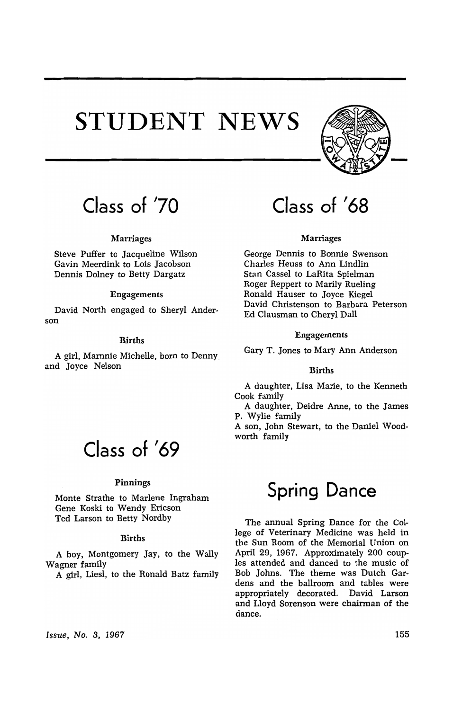# **STUDENT NEWS**



## **Class of '70**

### Marriages

Steve Puffer to Jacqueline Wilson Gavin Meerdink to Lois Jacobson Dennis Dolney to Betty Dargatz

### Engagements

David North engaged to Sheryl Anderson

### Births

A girl, Marnnie Michelle, born to Denny and Joyce Nelson

### **Class of '69**

#### Pinnings

Monte Strathe to Marlene Ingraham Gene Koski to Wendy Ericson Ted Larson to Betty Nordby

### Births

A boy, Montgomery Jay, to the Wally Wagner family

A girl, Liesl, to the Ronald Batz family

# **Class of '68**

### Marriages

George Dennis to Bonnie Swenson Charles Heuss to Ann Lindlin Stan Cassel to LaRita Spielman Roger Reppert to Marily Rueling Ronald Hauser to Joyce Kiegel David Christenson to Barbara Peterson Ed Clausman to Cheryl Dall

### Engagements

Gary T. Jones to Mary Ann Anderson

### Births

A daughter, Lisa Marie, to the Kenneth Cook family

A daughter, Deidre Anne, to the James P. Wylie family

A son, John Stewart, to the Daniel Woodworth family

## **Spring Dance**

The annual Spring Dance for the College of Veterinary Medicine was held in the Sun Room of the Memorial Union on April 29, 1967. Approximately 200 couples attended and danced to the music of Bob Johns. The theme was Dutch Gardens and the ballroom and tables were appropriately decorated. David Larson and Lloyd Sorenson were chairman of the dance.

Issue, No.3, 1967